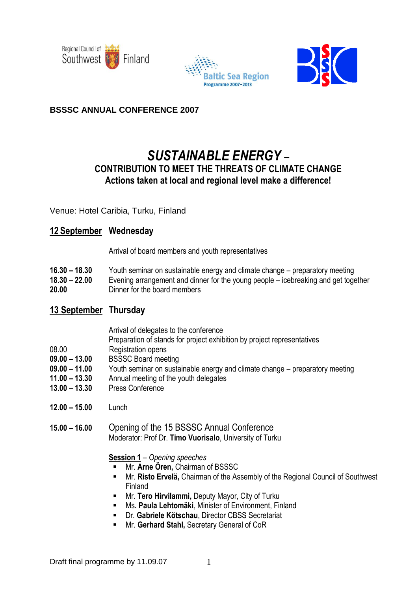





## **BSSSC ANNUAL CONFERENCE 2007**

# *SUSTAINABLE ENERGY* **–**

## **CONTRIBUTION TO MEET THE THREATS OF CLIMATE CHANGE Actions taken at local and regional level make a difference!**

Venue: Hotel Caribia, Turku, Finland

## **12 September Wednesday**

Arrival of board members and youth representatives

- **16.30 – 18.30** Youth seminar on sustainable energy and climate change preparatory meeting
- **18.30 – 22.00** Evening arrangement and dinner for the young people icebreaking and get together **20.00** Dinner for the board members

# **13 September Thursday**

- Arrival of delegates to the conference
- Preparation of stands for project exhibition by project representatives
- 08.00 Registration opens
- **09.00 – 13.00** BSSSC Board meeting
- **09.00 – 11.00** Youth seminar on sustainable energy and climate change preparatory meeting
- **11.00 – 13.30** Annual meeting of the youth delegates
- **13.00 – 13.30** Press Conference
- **12.00 – 15.00** Lunch
- **15.00 – 16.00** Opening of the 15 BSSSC Annual Conference Moderator: Prof Dr. **Timo Vuorisalo**, University of Turku

**Session 1** – *Opening speeches*

- Mr. **Arne Ören,** Chairman of BSSSC
- Mr. **Risto Ervelä,** Chairman of the Assembly of the Regional Council of Southwest Finland
- Mr. **Tero Hirvilammi,** Deputy Mayor, City of Turku
- Ms**. Paula Lehtomäki**, Minister of Environment, Finland
- Dr. **Gabriele Kötschau**, Director CBSS Secretariat
- **Mr. Gerhard Stahl, Secretary General of CoR**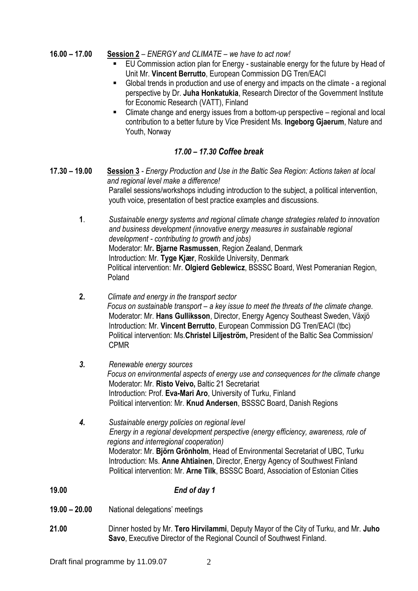- **16.00 – 17.00 Session 2** *ENERGY and CLIMATE – we have to act now!*
	- EU Commission action plan for Energy sustainable energy for the future by Head of Unit Mr. **Vincent Berrutto**, European Commission DG Tren/EACI
	- Global trends in production and use of energy and impacts on the climate a regional perspective by Dr. **Juha Honkatukia**, Research Director of the Government Institute for Economic Research (VATT), Finland
	- Climate change and energy issues from a bottom-up perspective regional and local contribution to a better future by Vice President Ms. **Ingeborg Gjaerum**, Nature and Youth, Norway

## *17.00 – 17.30 Coffee break*

- **17.30 – 19.00 Session 3** *Energy Production and Use in the Baltic Sea Region: Actions taken at local and regional level make a difference!*  Parallel sessions/workshops including introduction to the subject, a political intervention, youth voice, presentation of best practice examples and discussions.
	- **1**. *Sustainable energy systems and regional climate change strategies related to innovation and business development (innovative energy measures in sustainable regional development - contributing to growth and jobs)* Moderator: Mr**. Bjarne Rasmussen**, Region Zealand, Denmark Introduction: Mr. **Tyge Kjær**, Roskilde University, Denmark Political intervention: Mr. **Olgierd Geblewicz**, BSSSC Board, West Pomeranian Region, Poland
	- **2.** *Climate and energy in the transport sector Focus on sustainable transport – a key issue to meet the threats of the climate change.* Moderator: Mr. **Hans Gulliksson**, Director, Energy Agency Southeast Sweden, Växjö Introduction: Mr. **Vincent Berrutto**, European Commission DG Tren/EACI (tbc) Political intervention: Ms.**Christel Liljeström,** President of the Baltic Sea Commission/ CPMR
	- *3. Renewable energy sources Focus on environmental aspects of energy use and consequences for the climate change*  Moderator: Mr. **Risto Veivo,** Baltic 21 Secretariat Introduction: Prof. **Eva-Mari Aro**, University of Turku, Finland Political intervention: Mr. **Knud Andersen**, BSSSC Board, Danish Regions
	- *4. Sustainable energy policies on regional level Energy in a regional development perspective (energy efficiency, awareness, role of regions and interregional cooperation)* Moderator: Mr. **Björn Grönholm**, Head of Environmental Secretariat of UBC, Turku Introduction: Ms. **Anne Ahtiainen**, Director, Energy Agency of Southwest Finland Political intervention: Mr. **Arne Tilk**, BSSSC Board, Association of Estonian Cities
- **19.00** *End of day 1*
- **19.00 – 20.00** National delegations' meetings
- **21.00** Dinner hosted by Mr. **Tero Hirvilammi**, Deputy Mayor of the City of Turku, and Mr. **Juho Savo**, Executive Director of the Regional Council of Southwest Finland.